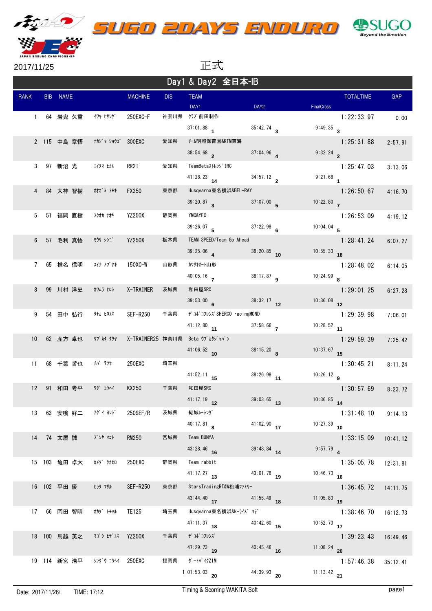





2017/11/25 正式

| Day1 & Day2 全日本-IB |  |              |                 |                 |            |                                      |                        |                         |                  |          |  |
|--------------------|--|--------------|-----------------|-----------------|------------|--------------------------------------|------------------------|-------------------------|------------------|----------|--|
| <b>RANK</b>        |  | BIB NAME     |                 | <b>MACHINE</b>  | <b>DIS</b> | <b>TEAM</b><br>DAY1                  | DAY <sub>2</sub>       | <b>FinalCross</b>       | <b>TOTALTIME</b> | GAP      |  |
| $\mathbf{1}$       |  | 64 岩鬼 久重     | イワキ ヒサシゲ        | 250EXC-F        | 神奈川県       | クラブ前田制作                              |                        |                         | 1:22:33.97       | 0.00     |  |
|                    |  |              |                 |                 |            | $37:01.88$ 1                         | $35:42.74$ 3           | $9:49.35$ 3             |                  |          |  |
|                    |  | 2 115 中島 章悟  | ナカジ マ ショウゴ      | 300EXC          | 愛知県        | チーム明照保育園&KTM東海                       |                        |                         | 1:25:31.88       | 2:57.91  |  |
|                    |  |              |                 |                 |            | $38:54.68$ 2                         | $37:04.96$ 4           | 9:32.24                 |                  |          |  |
| 3                  |  | 97 新沼 光      | ニイヌマ ヒカル        | RR2T            | 愛知県        | TeamBetaストレンジ IRC                    |                        |                         | 1:25:47.03       | 3:13.06  |  |
|                    |  |              |                 |                 |            | $41:28.23$ 14                        | 34:57.12 $\frac{1}{2}$ | $9:21.68$ 1             |                  |          |  |
| 4                  |  | 84 大神 智樹     | 材がミトモキ          | <b>FX350</b>    | 東京都        | Husqvarna東名横浜&BEL-RAY                |                        |                         | 1:26:50.67       | 4:16.70  |  |
|                    |  |              |                 |                 |            | $39:20.87$ 3                         | $37:07.00$ 5           | 10:22.80                |                  |          |  |
| 5                  |  | 51 福岡 直樹     | フクオカ ナオキ        | <b>YZ250X</b>   | 静岡県        | <b>YMC&amp;YEC</b>                   |                        |                         | 1:26:53.09       | 4:19.12  |  |
|                    |  |              |                 |                 |            | 39:26.07                             | $37:22.98$ 6           | 10:04.04 $\overline{5}$ |                  |          |  |
| 6                  |  | 57 毛利 真悟     | <b>モウリ シンゴ</b>  | <b>YZ250X</b>   | 栃木県        | TEAM SPEED/Team Go Ahead<br>39:25.06 | 38:20.85 10            | $10:55.33$ 18           | 1:28:41.24       | 6:07.27  |  |
| $7\phantom{.0}$    |  | 65 推名 信明     | スイナ ノブアキ        | 150XC-W         | 山形県        | カワサキオート山形                            |                        |                         | 1:28:48.02       |          |  |
|                    |  |              |                 |                 |            | $40:05.16$ 7                         | $38:17.87$ 9           | $10:24.99$ 8            |                  | 6:14.05  |  |
| 8                  |  | 99 川村 洋史     | カワムラ ヒロシ        | X-TRAINER       | 茨城県        | 和田屋SRC                               |                        |                         | 1:29:01.25       | 6:27.28  |  |
|                    |  |              |                 |                 |            | $39:53.00$ 6                         | $38:32.17$ 12          | $10:36.08$ 12           |                  |          |  |
| 9                  |  | 54 田中 弘行     | タナカ ヒロユキ        | <b>SEF-R250</b> | 千葉県        | デコポコフレンズ SHERCO racingMOND           |                        |                         | 1:29:39.98       | 7:06.01  |  |
|                    |  |              |                 |                 |            | $41:12.80$ 11                        | $37:58.66$ 7           | $10:28.52$ 11           |                  |          |  |
| 10                 |  | 62 産方 卓也     | ウブ カタ タクヤ       |                 |            | X-TRAINER25 神奈川県 Beta ウブカタジャパン       |                        |                         | 1:29:59.39       | 7:25.42  |  |
|                    |  |              |                 |                 |            | $41:06.52$ 10                        | 38:15.20 $\bar{R}$     | $10:37.67$ 15           |                  |          |  |
| 11                 |  | 68 千葉 哲也     | チバ テツヤ          | 250EXC          | 埼玉県        |                                      |                        |                         | 1:30:45.21       | 8:11.24  |  |
|                    |  |              |                 |                 |            | $41:52.11$ 15                        | $38:26.98$ 11          | 10:26.12 $g$            |                  |          |  |
| $12 \overline{ }$  |  | 91 和田 考平     | ワダ コウヘイ         | <b>KX250</b>    | 千葉県        | 和田屋SRC                               |                        |                         | 1:30:57.69       | 8:23.72  |  |
|                    |  |              |                 |                 |            | $41:17.19$ 12                        | $39:03.65$ 13          | $10:36.85$ 14           |                  |          |  |
| 13                 |  | 63 安喰 好二     | アグイ ヨシジ         | 250SEF/R        | 茨城県        | 結城レーシング                              |                        |                         | 1:31:48.10       | 9:14.13  |  |
|                    |  |              |                 |                 |            | $40:17.81$ R                         | $41:02.90$ 17          | $10:27.39$ 10           |                  |          |  |
| 14                 |  | 74 文屋 誠      | ブンヤ マコト         | <b>RM250</b>    | 宮城県        | Team BUNYA                           |                        |                         | 1:33:15.09       | 10:41.12 |  |
|                    |  |              |                 |                 |            | 43:28.46 16                          | 39:48.84 14            | $9:57.79$ 4             |                  |          |  |
|                    |  | 15 103 亀田 卓大 | カメダ゛ タカヒロ       | 250EXC          | 静岡県        | Team rabbit<br>$41:17.27$ 13         | $43:01.78$ 19          | $10:46.73$ 16           | 1:35:05.78       | 12:31.81 |  |
|                    |  | 16 102 平田優   | ヒラタ マサル         |                 | 東京都        | StarsTradingRT&W松浦ファミリー              |                        |                         |                  |          |  |
|                    |  |              |                 | <b>SEF-R250</b> |            | 43:44.40 $17$                        | $41:55.49$ 18          | $11:05.83$ 19           | 1:36:45.72       | 14:11.75 |  |
| 17                 |  | 66 岡田 智晴     | オカダ゛ トモハル       | TE125           | 埼玉県        | Husqvarna東名横浜&k-ライズ マデ               |                        |                         | 1:38:46.70       | 16:12.73 |  |
|                    |  |              |                 |                 |            | $47:11.37$ 18                        | $40:42.60$ 15          | $10:52.73$ 17           |                  |          |  |
|                    |  | 18 100 馬越 英之 | マゴシ ヒデユキ YZ250X |                 | 千葉県        | デ゙コポ゙コフレンズ゛                          |                        |                         | 1:39:23.43       | 16:49.46 |  |
|                    |  |              |                 |                 |            | $47:29.73$ 19                        | $40:45.46$ 16          | 11:08.24 20             |                  |          |  |
|                    |  | 19 114 新宮 浩平 | シングウ コウヘイ       | 250EXC          | 福岡県        | ダートバイクZIM                            |                        |                         | 1:57:46.38       | 35:12.41 |  |
|                    |  |              |                 |                 |            | 1:01:53.03 20                        | $44:39.93$ 20          | 11:13.42 21             |                  |          |  |